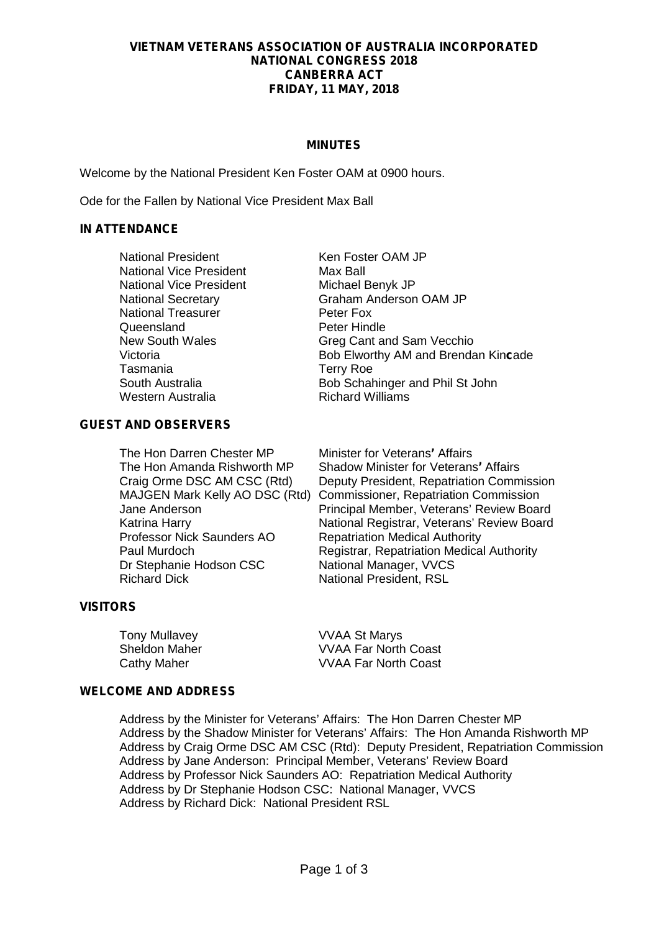#### **VIETNAM VETERANS ASSOCIATION OF AUSTRALIA INCORPORATED NATIONAL CONGRESS 2018 CANBERRA ACT FRIDAY, 11 MAY, 2018**

#### **MINUTES**

Welcome by the National President Ken Foster OAM at 0900 hours.

Ode for the Fallen by National Vice President Max Ball

#### **IN ATTENDANCE**

| <b>National President</b><br><b>National Vice President</b> | Ken Foster OAM JP<br>Max Ball                     |
|-------------------------------------------------------------|---------------------------------------------------|
| <b>National Vice President</b>                              | Michael Benyk JP<br><b>Graham Anderson OAM JP</b> |
| <b>National Secretary</b><br><b>National Treasurer</b>      | Peter Fox                                         |
| Queensland                                                  | Peter Hindle                                      |
| <b>New South Wales</b>                                      | Greg Cant and Sam Vecchio                         |
| Victoria                                                    | Bob Elworthy AM and Brendan Kincade               |
| Tasmania                                                    | <b>Terry Roe</b>                                  |
| South Australia                                             | Bob Schahinger and Phil St John                   |
| Western Australia                                           | <b>Richard Williams</b>                           |

#### **GUEST AND OBSERVERS**

The Hon Darren Chester MP Minister for Veterans' Affairs<br>The Hon Amanda Rishworth MP Shadow Minister for Veterans Professor Nick Saunders AO Repatriation Medical Authority<br>Paul Murdoch Registrar, Repatriation Medica Dr Stephanie Hodson CSC National Manager, VVCS<br>Richard Dick National President RSI

**Shadow Minister for Veterans' Affairs** Craig Orme DSC AM CSC (Rtd) Deputy President, Repatriation Commission MAJGEN Mark Kelly AO DSC (Rtd) Commissioner, Repatriation Commission Jane Anderson **Principal Member, Veterans' Review Board**<br>
Katrina Harry **Principal Registrar, Veterans' Review Board** Katrina Harry **National Registrar, Veterans' Review Board**<br>Professor Nick Saunders AO Repatriation Medical Authority Registrar, Repatriation Medical Authority **National President, RSL** 

## **VISITORS**

Tony Mullavey **VVAA St Marys** 

Sheldon Maher VVAA Far North Coast Cathy Maher VVAA Far North Coast

## **WELCOME AND ADDRESS**

Address by the Minister for Veterans' Affairs: The Hon Darren Chester MP Address by the Shadow Minister for Veterans' Affairs: The Hon Amanda Rishworth MP Address by Craig Orme DSC AM CSC (Rtd): Deputy President, Repatriation Commission Address by Jane Anderson: Principal Member, Veterans' Review Board Address by Professor Nick Saunders AO: Repatriation Medical Authority Address by Dr Stephanie Hodson CSC: National Manager, VVCS Address by Richard Dick: National President RSL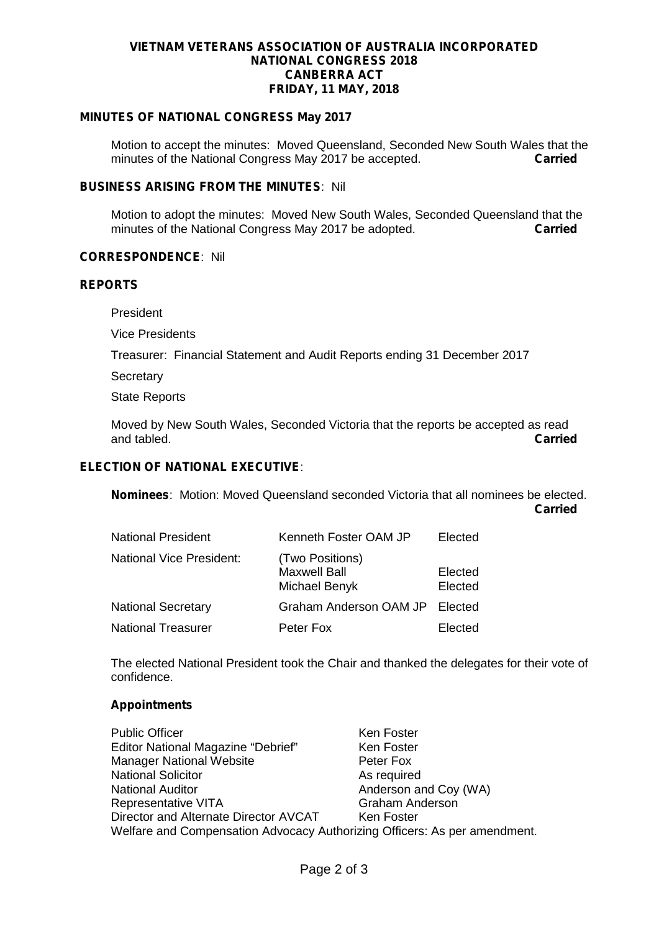#### **VIETNAM VETERANS ASSOCIATION OF AUSTRALIA INCORPORATED NATIONAL CONGRESS 2018 CANBERRA ACT FRIDAY, 11 MAY, 2018**

# **MINUTES OF NATIONAL CONGRESS May 2017**

Motion to accept the minutes: Moved Queensland, Seconded New South Wales that the minutes of the National Congress May 2017 be accepted. **Carried** 

#### **BUSINESS ARISING FROM THE MINUTES**: Nil

Motion to adopt the minutes: Moved New South Wales, Seconded Queensland that the minutes of the National Congress May 2017 be adopted minutes of the National Congress May 2017 be adopted.

#### **CORRESPONDENCE**: Nil

#### **REPORTS**

President

Vice Presidents

Treasurer: Financial Statement and Audit Reports ending 31 December 2017

**Secretary** 

State Reports

Moved by New South Wales, Seconded Victoria that the reports be accepted as read and tabled. **Carried**

# **ELECTION OF NATIONAL EXECUTIVE**:

**Nominees**: Motion: Moved Queensland seconded Victoria that all nominees be elected. **Carried**

| <b>National President</b>       | Kenneth Foster OAM JP                                   | Elected            |
|---------------------------------|---------------------------------------------------------|--------------------|
| <b>National Vice President:</b> | (Two Positions)<br><b>Maxwell Ball</b><br>Michael Benyk | Elected<br>Elected |
| <b>National Secretary</b>       | Graham Anderson OAM JP Elected                          |                    |
| <b>National Treasurer</b>       | Peter Fox                                               | Elected            |

The elected National President took the Chair and thanked the delegates for their vote of confidence.

#### **Appointments**

| <b>Public Officer</b>                                                     | Ken Foster             |  |
|---------------------------------------------------------------------------|------------------------|--|
| Editor National Magazine "Debrief"                                        | Ken Foster             |  |
| <b>Manager National Website</b>                                           | Peter Fox              |  |
| <b>National Solicitor</b>                                                 | As required            |  |
| <b>National Auditor</b>                                                   | Anderson and Coy (WA)  |  |
| <b>Representative VITA</b>                                                | <b>Graham Anderson</b> |  |
| Director and Alternate Director AVCAT                                     | Ken Foster             |  |
| Welfare and Compensation Advocacy Authorizing Officers: As per amendment. |                        |  |